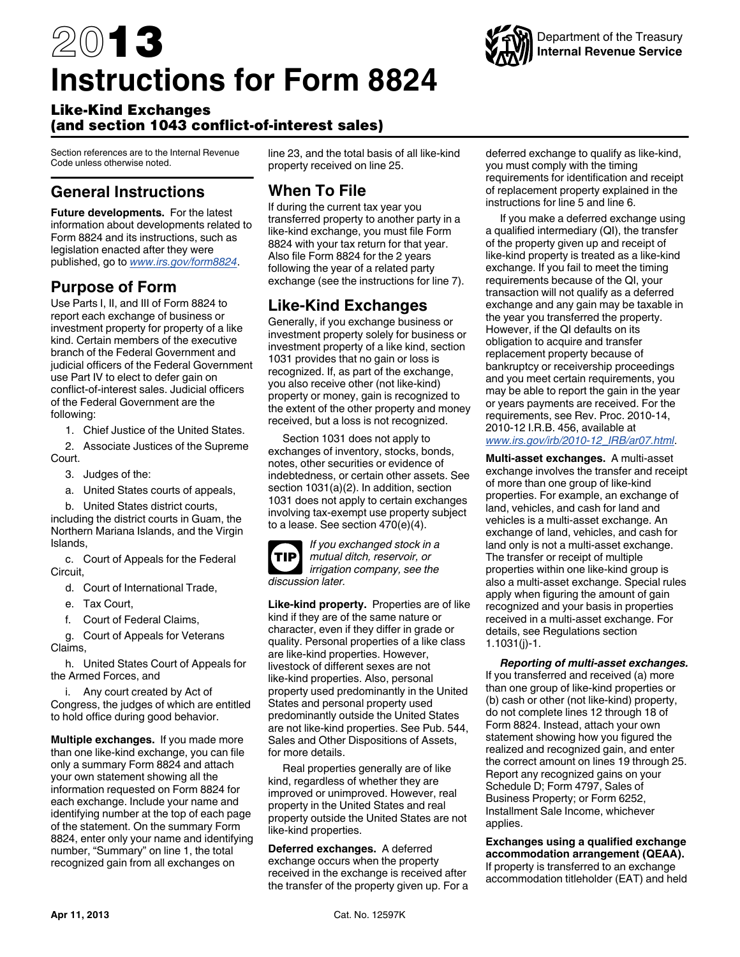# 2013 **Instructions for Form 8824**

#### Like-Kind Exchanges (and section 1043 conflict-of-interest sales)

Section references are to the Internal Revenue Code unless otherwise noted.

### **General Instructions**

**Future developments.** For the latest information about developments related to Form 8824 and its instructions, such as legislation enacted after they were published, go to *www.irs.gov/form8824*.

#### **Purpose of Form**

Use Parts I, II, and III of Form 8824 to report each exchange of business or investment property for property of a like kind. Certain members of the executive branch of the Federal Government and judicial officers of the Federal Government use Part IV to elect to defer gain on conflict-of-interest sales. Judicial officers of the Federal Government are the following:

1. Chief Justice of the United States.

2. Associate Justices of the Supreme Court.

- 3. Judges of the:
- a. United States courts of appeals,

b. United States district courts,

including the district courts in Guam, the Northern Mariana Islands, and the Virgin Islands,

c. Court of Appeals for the Federal Circuit,

- d. Court of International Trade,
- e. Tax Court,
- f. Court of Federal Claims,

g. Court of Appeals for Veterans Claims,

h. United States Court of Appeals for the Armed Forces, and

i. Any court created by Act of Congress, the judges of which are entitled to hold office during good behavior.

**Multiple exchanges.** If you made more than one like-kind exchange, you can file only a summary Form 8824 and attach your own statement showing all the information requested on Form 8824 for each exchange. Include your name and identifying number at the top of each page of the statement. On the summary Form 8824, enter only your name and identifying number, "Summary" on line 1, the total recognized gain from all exchanges on

line 23, and the total basis of all like-kind property received on line 25.

## **When To File**

If during the current tax year you transferred property to another party in a like-kind exchange, you must file Form 8824 with your tax return for that year. Also file Form 8824 for the 2 years following the year of a related party exchange (see the instructions for line 7).

## **Like-Kind Exchanges**

Generally, if you exchange business or investment property solely for business or investment property of a like kind, section 1031 provides that no gain or loss is recognized. If, as part of the exchange, you also receive other (not like-kind) property or money, gain is recognized to the extent of the other property and money received, but a loss is not recognized.

Section 1031 does not apply to exchanges of inventory, stocks, bonds, notes, other securities or evidence of indebtedness, or certain other assets. See section 1031(a)(2). In addition, section 1031 does not apply to certain exchanges involving tax-exempt use property subject to a lease. See section 470(e)(4).



*If you exchanged stock in a mutual ditch, reservoir, or irrigation company, see the discussion later.*

**Like-kind property.** Properties are of like kind if they are of the same nature or character, even if they differ in grade or quality. Personal properties of a like class are like-kind properties. However, livestock of different sexes are not like-kind properties. Also, personal property used predominantly in the United States and personal property used predominantly outside the United States are not like-kind properties. See Pub. 544, Sales and Other Dispositions of Assets, for more details.

Real properties generally are of like kind, regardless of whether they are improved or unimproved. However, real property in the United States and real property outside the United States are not like-kind properties.

**Deferred exchanges.** A deferred exchange occurs when the property received in the exchange is received after the transfer of the property given up. For a deferred exchange to qualify as like-kind, you must comply with the timing requirements for identification and receipt of replacement property explained in the instructions for line 5 and line 6.

If you make a deferred exchange using a qualified intermediary (QI), the transfer of the property given up and receipt of like-kind property is treated as a like-kind exchange. If you fail to meet the timing requirements because of the QI, your transaction will not qualify as a deferred exchange and any gain may be taxable in the year you transferred the property. However, if the QI defaults on its obligation to acquire and transfer replacement property because of bankruptcy or receivership proceedings and you meet certain requirements, you may be able to report the gain in the year or years payments are received. For the requirements, see Rev. Proc. 2010-14, 2010-12 I.R.B. 456, available at *[www.irs.gov/irb/2010-12\\_IRB/ar07.html](http://www.irs.gov/irb/2010-12_IRB/ar07.html)*.

**Multi-asset exchanges.** A multi-asset exchange involves the transfer and receipt of more than one group of like-kind properties. For example, an exchange of land, vehicles, and cash for land and vehicles is a multi-asset exchange. An exchange of land, vehicles, and cash for land only is not a multi-asset exchange. The transfer or receipt of multiple properties within one like-kind group is also a multi-asset exchange. Special rules apply when figuring the amount of gain recognized and your basis in properties received in a multi-asset exchange. For details, see Regulations section 1.1031(j)-1.

*Reporting of multi-asset exchanges.*  If you transferred and received (a) more than one group of like-kind properties or (b) cash or other (not like-kind) property, do not complete lines 12 through 18 of Form 8824. Instead, attach your own statement showing how you figured the realized and recognized gain, and enter the correct amount on lines 19 through 25. Report any recognized gains on your Schedule D; Form 4797, Sales of Business Property; or Form 6252, Installment Sale Income, whichever applies.

**Exchanges using a qualified exchange accommodation arrangement (QEAA).**  If property is transferred to an exchange accommodation titleholder (EAT) and held



## Department of the Treasury **Internal Revenue Service**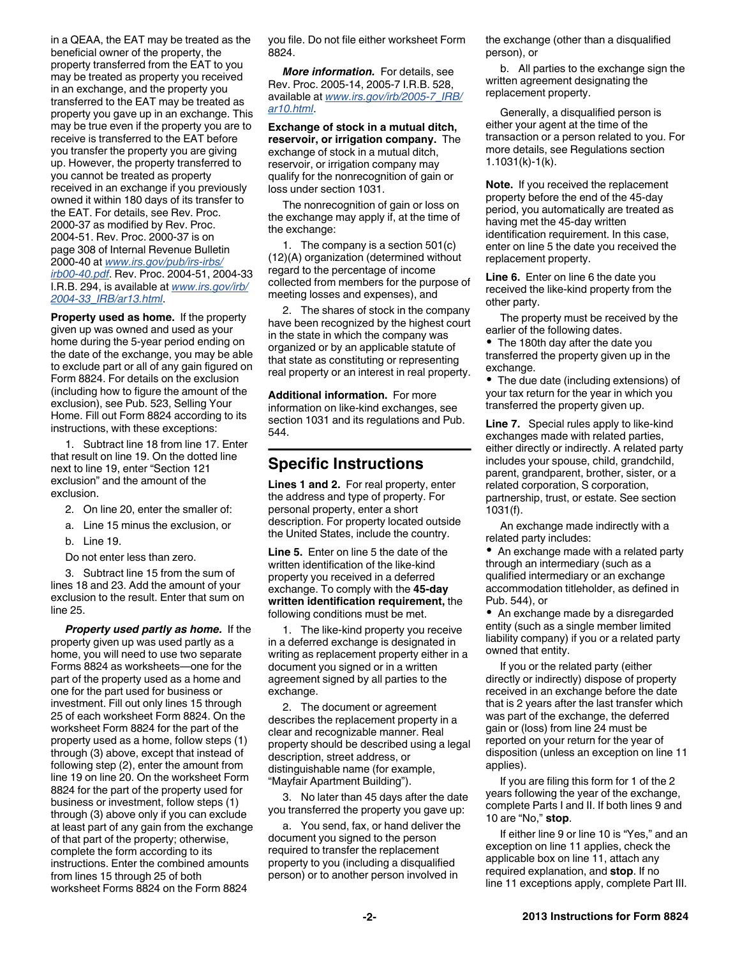in a QEAA, the EAT may be treated as the beneficial owner of the property, the property transferred from the EAT to you may be treated as property you received in an exchange, and the property you transferred to the EAT may be treated as property you gave up in an exchange. This may be true even if the property you are to receive is transferred to the EAT before you transfer the property you are giving up. However, the property transferred to you cannot be treated as property received in an exchange if you previously owned it within 180 days of its transfer to the EAT. For details, see Rev. Proc. 2000-37 as modified by Rev. Proc. 2004-51. Rev. Proc. 2000-37 is on page 308 of Internal Revenue Bulletin 2000-40 at *[www.irs.gov/pub/irs-irbs/](http://www.irs.gov/pub/irs-irbs/irb00-40.pdf) [irb00-40.pdf](http://www.irs.gov/pub/irs-irbs/irb00-40.pdf)*. Rev. Proc. 2004-51, 2004-33 I.R.B. 294, is available at *[www.irs.gov/irb/](http://www.irs.gov/irb/2004-33_IRB/ar13.html) [2004-33\\_IRB/ar13.html](http://www.irs.gov/irb/2004-33_IRB/ar13.html)*.

**Property used as home.** If the property given up was owned and used as your home during the 5-year period ending on the date of the exchange, you may be able to exclude part or all of any gain figured on Form 8824. For details on the exclusion (including how to figure the amount of the exclusion), see Pub. 523, Selling Your Home. Fill out Form 8824 according to its instructions, with these exceptions:

1. Subtract line 18 from line 17. Enter that result on line 19. On the dotted line next to line 19, enter "Section 121 exclusion" and the amount of the exclusion.

- 2. On line 20, enter the smaller of:
- a. Line 15 minus the exclusion, or
- b. Line 19.
- Do not enter less than zero.

3. Subtract line 15 from the sum of lines 18 and 23. Add the amount of your exclusion to the result. Enter that sum on line 25.

*Property used partly as home.* If the property given up was used partly as a home, you will need to use two separate Forms 8824 as worksheets—one for the part of the property used as a home and one for the part used for business or investment. Fill out only lines 15 through 25 of each worksheet Form 8824. On the worksheet Form 8824 for the part of the property used as a home, follow steps (1) through (3) above, except that instead of following step (2), enter the amount from line 19 on line 20. On the worksheet Form 8824 for the part of the property used for business or investment, follow steps (1) through (3) above only if you can exclude at least part of any gain from the exchange of that part of the property; otherwise, complete the form according to its instructions. Enter the combined amounts from lines 15 through 25 of both worksheet Forms 8824 on the Form 8824

you file. Do not file either worksheet Form 8824.

*More information.* For details, see Rev. Proc. 2005-14, 2005-7 I.R.B. 528, available at *[www.irs.gov/irb/2005-7\\_IRB/](http://www.irs.gov/irb/2005-07_IRB/ar10.html) [ar10.html](http://www.irs.gov/irb/2005-07_IRB/ar10.html)*.

**Exchange of stock in a mutual ditch, reservoir, or irrigation company.** The exchange of stock in a mutual ditch, reservoir, or irrigation company may qualify for the nonrecognition of gain or loss under section 1031.

The nonrecognition of gain or loss on the exchange may apply if, at the time of the exchange:

1. The company is a section 501(c) (12)(A) organization (determined without regard to the percentage of income collected from members for the purpose of meeting losses and expenses), and

2. The shares of stock in the company have been recognized by the highest court in the state in which the company was organized or by an applicable statute of that state as constituting or representing real property or an interest in real property.

**Additional information.** For more information on like-kind exchanges, see section 1031 and its regulations and Pub. 544.

#### **Specific Instructions**

**Lines 1 and 2.** For real property, enter the address and type of property. For personal property, enter a short description. For property located outside the United States, include the country.

**Line 5.** Enter on line 5 the date of the written identification of the like-kind property you received in a deferred exchange. To comply with the **45-day written identification requirement,** the following conditions must be met.

1. The like-kind property you receive in a deferred exchange is designated in writing as replacement property either in a document you signed or in a written agreement signed by all parties to the exchange.

2. The document or agreement describes the replacement property in a clear and recognizable manner. Real property should be described using a legal description, street address, or distinguishable name (for example, "Mayfair Apartment Building").

3. No later than 45 days after the date you transferred the property you gave up:

a. You send, fax, or hand deliver the document you signed to the person required to transfer the replacement property to you (including a disqualified person) or to another person involved in

the exchange (other than a disqualified person), or

b. All parties to the exchange sign the written agreement designating the replacement property.

Generally, a disqualified person is either your agent at the time of the transaction or a person related to you. For more details, see Regulations section 1.1031(k)-1(k).

**Note.** If you received the replacement property before the end of the 45-day period, you automatically are treated as having met the 45-day written identification requirement. In this case, enter on line 5 the date you received the replacement property.

**Line 6.** Enter on line 6 the date you received the like-kind property from the other party.

The property must be received by the earlier of the following dates.

• The 180th day after the date you transferred the property given up in the exchange.

The due date (including extensions) of your tax return for the year in which you transferred the property given up.

**Line 7.** Special rules apply to like-kind exchanges made with related parties, either directly or indirectly. A related party includes your spouse, child, grandchild, parent, grandparent, brother, sister, or a related corporation, S corporation, partnership, trust, or estate. See section 1031(f).

An exchange made indirectly with a related party includes:

• An exchange made with a related party through an intermediary (such as a qualified intermediary or an exchange accommodation titleholder, as defined in Pub. 544), or

• An exchange made by a disregarded entity (such as a single member limited liability company) if you or a related party owned that entity.

If you or the related party (either directly or indirectly) dispose of property received in an exchange before the date that is 2 years after the last transfer which was part of the exchange, the deferred gain or (loss) from line 24 must be reported on your return for the year of disposition (unless an exception on line 11 applies).

If you are filing this form for 1 of the 2 years following the year of the exchange, complete Parts I and II. If both lines 9 and 10 are "No," **stop**.

If either line 9 or line 10 is "Yes," and an exception on line 11 applies, check the applicable box on line 11, attach any required explanation, and **stop**. If no line 11 exceptions apply, complete Part III.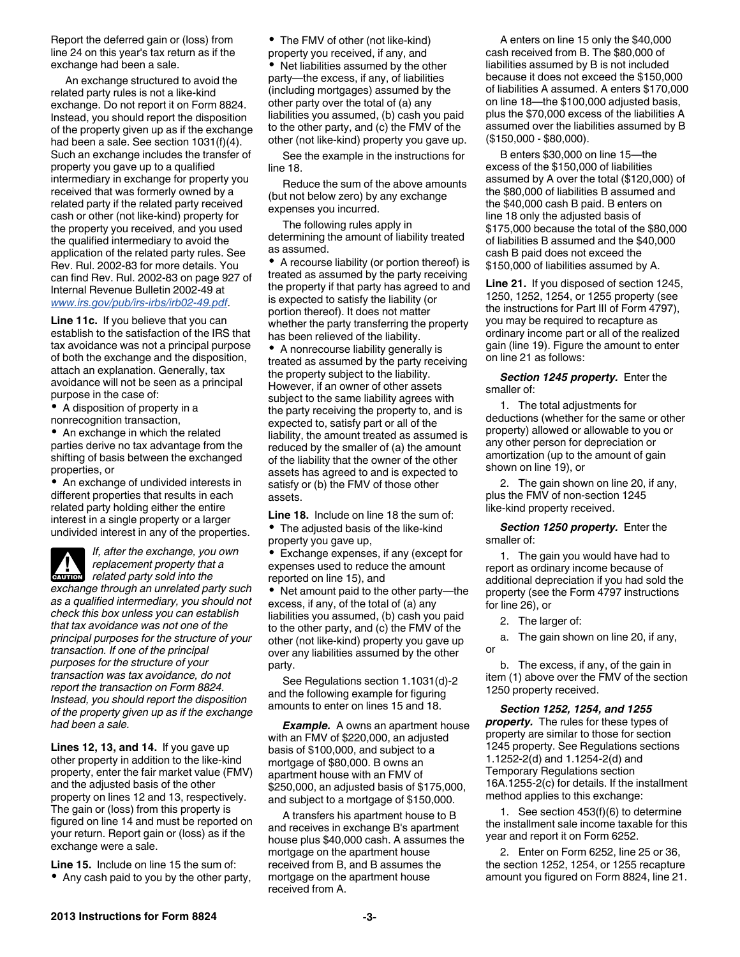Report the deferred gain or (loss) from line 24 on this year's tax return as if the exchange had been a sale.

An exchange structured to avoid the related party rules is not a like-kind exchange. Do not report it on Form 8824. Instead, you should report the disposition of the property given up as if the exchange had been a sale. See section 1031(f)(4). Such an exchange includes the transfer of property you gave up to a qualified intermediary in exchange for property you received that was formerly owned by a related party if the related party received cash or other (not like-kind) property for the property you received, and you used the qualified intermediary to avoid the application of the related party rules. See Rev. Rul. 2002-83 for more details. You can find Rev. Rul. 2002-83 on page 927 of Internal Revenue Bulletin 2002-49 at *[www.irs.gov/pub/irs-irbs/irb02-49.pdf](http://www.irs.gov/pub/irs-irbs/irb02-49.pdf)*.

**Line 11c.** If you believe that you can establish to the satisfaction of the IRS that tax avoidance was not a principal purpose of both the exchange and the disposition, attach an explanation. Generally, tax avoidance will not be seen as a principal purpose in the case of:

A disposition of property in a nonrecognition transaction,

• An exchange in which the related parties derive no tax advantage from the shifting of basis between the exchanged properties, or

An exchange of undivided interests in different properties that results in each related party holding either the entire interest in a single property or a larger undivided interest in any of the properties.

*If, after the exchange, you own replacement property that a*  **replacement property that**<br>**CAUTION** related party sold into the

*exchange through an unrelated party such as a qualified intermediary, you should not check this box unless you can establish that tax avoidance was not one of the principal purposes for the structure of your transaction. If one of the principal purposes for the structure of your transaction was tax avoidance, do not report the transaction on Form 8824. Instead, you should report the disposition of the property given up as if the exchange had been a sale.*

**Lines 12, 13, and 14.** If you gave up other property in addition to the like-kind property, enter the fair market value (FMV) and the adjusted basis of the other property on lines 12 and 13, respectively. The gain or (loss) from this property is figured on line 14 and must be reported on your return. Report gain or (loss) as if the exchange were a sale.

**Line 15.** Include on line 15 the sum of: Any cash paid to you by the other party, • The FMV of other (not like-kind)

property you received, if any, and Net liabilities assumed by the other party—the excess, if any, of liabilities (including mortgages) assumed by the other party over the total of (a) any liabilities you assumed, (b) cash you paid to the other party, and (c) the FMV of the other (not like-kind) property you gave up.

See the example in the instructions for line 18.

Reduce the sum of the above amounts (but not below zero) by any exchange expenses you incurred.

The following rules apply in determining the amount of liability treated as assumed.

A recourse liability (or portion thereof) is treated as assumed by the party receiving the property if that party has agreed to and is expected to satisfy the liability (or portion thereof). It does not matter whether the party transferring the property has been relieved of the liability.

A nonrecourse liability generally is treated as assumed by the party receiving the property subject to the liability. However, if an owner of other assets subject to the same liability agrees with the party receiving the property to, and is expected to, satisfy part or all of the liability, the amount treated as assumed is reduced by the smaller of (a) the amount of the liability that the owner of the other assets has agreed to and is expected to satisfy or (b) the FMV of those other assets.

**Line 18.** Include on line 18 the sum of: The adjusted basis of the like-kind

property you gave up, Exchange expenses, if any (except for expenses used to reduce the amount reported on line 15), and

Net amount paid to the other party—the excess, if any, of the total of (a) any liabilities you assumed, (b) cash you paid to the other party, and (c) the FMV of the other (not like-kind) property you gave up over any liabilities assumed by the other party.

See Regulations section 1.1031(d)-2 and the following example for figuring amounts to enter on lines 15 and 18.

*Example.* A owns an apartment house with an FMV of \$220,000, an adjusted basis of \$100,000, and subject to a mortgage of \$80,000. B owns an apartment house with an FMV of \$250,000, an adjusted basis of \$175,000, and subject to a mortgage of \$150,000.

A transfers his apartment house to B and receives in exchange B's apartment house plus \$40,000 cash. A assumes the mortgage on the apartment house received from B, and B assumes the mortgage on the apartment house received from A.

A enters on line 15 only the \$40,000 cash received from B. The \$80,000 of liabilities assumed by B is not included because it does not exceed the \$150,000 of liabilities A assumed. A enters \$170,000 on line 18—the \$100,000 adjusted basis, plus the \$70,000 excess of the liabilities A assumed over the liabilities assumed by B (\$150,000 - \$80,000).

B enters \$30,000 on line 15—the excess of the \$150,000 of liabilities assumed by A over the total (\$120,000) of the \$80,000 of liabilities B assumed and the \$40,000 cash B paid. B enters on line 18 only the adjusted basis of \$175,000 because the total of the \$80,000 of liabilities B assumed and the \$40,000 cash B paid does not exceed the \$150,000 of liabilities assumed by A.

**Line 21.** If you disposed of section 1245, 1250, 1252, 1254, or 1255 property (see the instructions for Part III of Form 4797), you may be required to recapture as ordinary income part or all of the realized gain (line 19). Figure the amount to enter on line 21 as follows:

*Section 1245 property.* Enter the smaller of:

1. The total adjustments for deductions (whether for the same or other property) allowed or allowable to you or any other person for depreciation or amortization (up to the amount of gain shown on line 19), or

2. The gain shown on line 20, if any, plus the FMV of non-section 1245 like-kind property received.

*Section 1250 property.* Enter the smaller of:

1. The gain you would have had to report as ordinary income because of additional depreciation if you had sold the property (see the Form 4797 instructions for line 26), or

2. The larger of:

a. The gain shown on line 20, if any, or

b. The excess, if any, of the gain in item (1) above over the FMV of the section 1250 property received.

*Section 1252, 1254, and 1255 property.* The rules for these types of property are similar to those for section 1245 property. See Regulations sections 1.1252-2(d) and 1.1254-2(d) and Temporary Regulations section 16A.1255-2(c) for details. If the installment method applies to this exchange:

1. See section 453(f)(6) to determine the installment sale income taxable for this year and report it on Form 6252.

2. Enter on Form 6252, line 25 or 36, the section 1252, 1254, or 1255 recapture amount you figured on Form 8824, line 21.